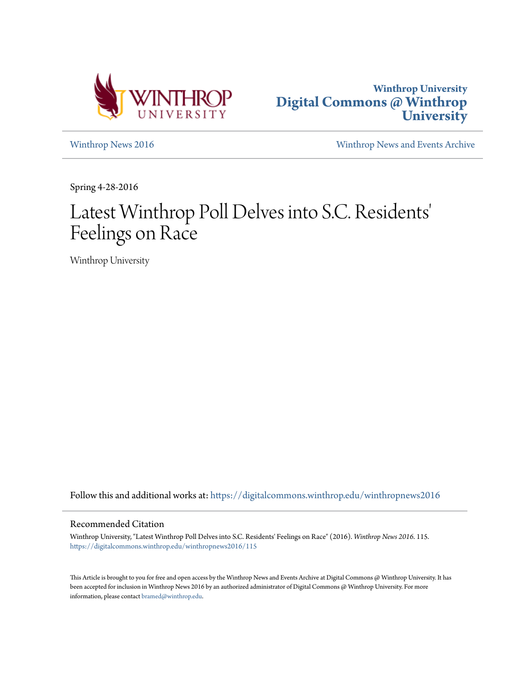



[Winthrop News 2016](https://digitalcommons.winthrop.edu/winthropnews2016?utm_source=digitalcommons.winthrop.edu%2Fwinthropnews2016%2F115&utm_medium=PDF&utm_campaign=PDFCoverPages) [Winthrop News and Events Archive](https://digitalcommons.winthrop.edu/winthropnewsarchives?utm_source=digitalcommons.winthrop.edu%2Fwinthropnews2016%2F115&utm_medium=PDF&utm_campaign=PDFCoverPages)

Spring 4-28-2016

# Latest Winthrop Poll Delves into S.C. Residents 'Feelings on Race

Winthrop University

Follow this and additional works at: [https://digitalcommons.winthrop.edu/winthropnews2016](https://digitalcommons.winthrop.edu/winthropnews2016?utm_source=digitalcommons.winthrop.edu%2Fwinthropnews2016%2F115&utm_medium=PDF&utm_campaign=PDFCoverPages)

# Recommended Citation

Winthrop University, "Latest Winthrop Poll Delves into S.C. Residents' Feelings on Race" (2016). *Winthrop News 2016*. 115. [https://digitalcommons.winthrop.edu/winthropnews2016/115](https://digitalcommons.winthrop.edu/winthropnews2016/115?utm_source=digitalcommons.winthrop.edu%2Fwinthropnews2016%2F115&utm_medium=PDF&utm_campaign=PDFCoverPages)

This Article is brought to you for free and open access by the Winthrop News and Events Archive at Digital Commons @ Winthrop University. It has been accepted for inclusion in Winthrop News 2016 by an authorized administrator of Digital Commons @ Winthrop University. For more information, please contact [bramed@winthrop.edu](mailto:bramed@winthrop.edu).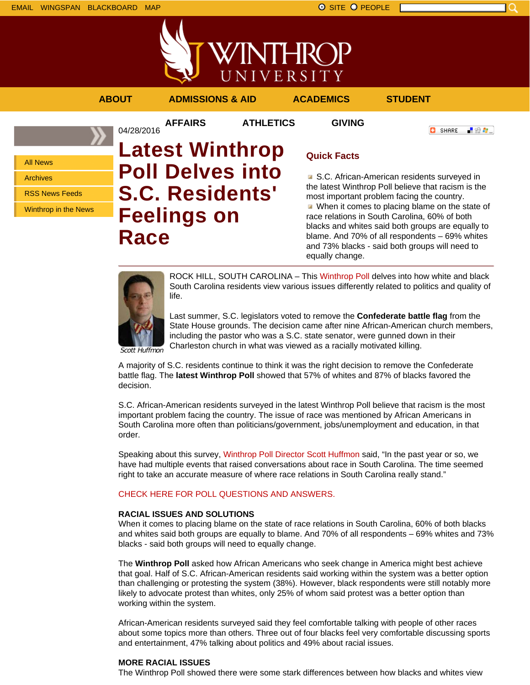

「验費」

**O** SHARE



**AFFAIRS ATHLETICS GIVING**

All News Archives

RSS News Feeds

Winthrop in the News

04/28/2016 **Latest Winthrop Poll Delves into S.C. Residents' Feelings on Race**

# **Quick Facts**

■ S.C. African-American residents surveyed in the latest Winthrop Poll believe that racism is the most important problem facing the country. When it comes to placing blame on the state of race relations in South Carolina, 60% of both blacks and whites said both groups are equally to blame. And 70% of all respondents – 69% whites and 73% blacks - said both groups will need to equally change.



ROCK HILL, SOUTH CAROLINA – This Winthrop Poll delves into how white and black South Carolina residents view various issues differently related to politics and quality of life.

Last summer, S.C. legislators voted to remove the **Confederate battle flag** from the State House grounds. The decision came after nine African-American church members, including the pastor who was a S.C. state senator, were gunned down in their Charleston church in what was viewed as a racially motivated killing.

Scott Huffmon

A majority of S.C. residents continue to think it was the right decision to remove the Confederate battle flag. The **latest Winthrop Poll** showed that 57% of whites and 87% of blacks favored the decision.

S.C. African-American residents surveyed in the latest Winthrop Poll believe that racism is the most important problem facing the country. The issue of race was mentioned by African Americans in South Carolina more often than politicians/government, jobs/unemployment and education, in that order.

Speaking about this survey, Winthrop Poll Director Scott Huffmon said, "In the past year or so, we have had multiple events that raised conversations about race in South Carolina. The time seemed right to take an accurate measure of where race relations in South Carolina really stand."

# CHECK HERE FOR POLL QUESTIONS AND ANSWERS.

# **RACIAL ISSUES AND SOLUTIONS**

When it comes to placing blame on the state of race relations in South Carolina, 60% of both blacks and whites said both groups are equally to blame. And 70% of all respondents – 69% whites and 73% blacks - said both groups will need to equally change.

The **Winthrop Poll** asked how African Americans who seek change in America might best achieve that goal. Half of S.C. African-American residents said working within the system was a better option than challenging or protesting the system (38%). However, black respondents were still notably more likely to advocate protest than whites, only 25% of whom said protest was a better option than working within the system.

African-American residents surveyed said they feel comfortable talking with people of other races about some topics more than others. Three out of four blacks feel very comfortable discussing sports and entertainment, 47% talking about politics and 49% about racial issues.

# **MORE RACIAL ISSUES**

The Winthrop Poll showed there were some stark differences between how blacks and whites view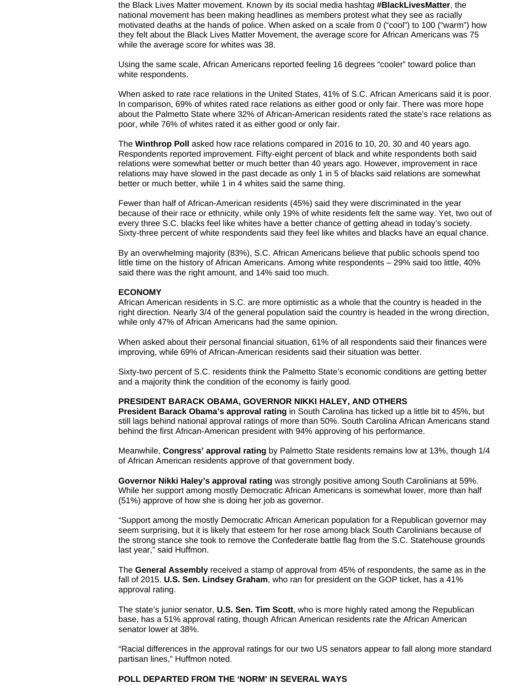the Black Lives Matter movement. Known by its social media hashtag **#BlackLivesMatter**, the national movement has been making headlines as members protest what they see as racially motivated deaths at the hands of police. When asked on a scale from 0 ("cool") to 100 ("warm") how they felt about the Black Lives Matter Movement, the average score for African Americans was 75 while the average score for whites was 38.

Using the same scale, African Americans reported feeling 16 degrees "cooler" toward police than white respondents.

When asked to rate race relations in the United States, 41% of S.C. African Americans said it is poor. In comparison, 69% of whites rated race relations as either good or only fair. There was more hope about the Palmetto State where 32% of African-American residents rated the state's race relations as poor, while 76% of whites rated it as either good or only fair.

The **Winthrop Poll** asked how race relations compared in 2016 to 10, 20, 30 and 40 years ago. Respondents reported improvement. Fifty-eight percent of black and white respondents both said relations were somewhat better or much better than 40 years ago. However, improvement in race relations may have slowed in the past decade as only 1 in 5 of blacks said relations are somewhat better or much better, while 1 in 4 whites said the same thing.

Fewer than half of African-American residents (45%) said they were discriminated in the year because of their race or ethnicity, while only 19% of white residents felt the same way. Yet, two out of every three S.C. blacks feel like whites have a better chance of getting ahead in today's society. Sixty-three percent of white respondents said they feel like whites and blacks have an equal chance.

By an overwhelming majority (83%), S.C. African Americans believe that public schools spend too little time on the history of African Americans. Among white respondents – 29% said too little, 40% said there was the right amount, and 14% said too much.

#### **ECONOMY**

African American residents in S.C. are more optimistic as a whole that the country is headed in the right direction. Nearly 3/4 of the general population said the country is headed in the wrong direction, while only 47% of African Americans had the same opinion.

When asked about their personal financial situation, 61% of all respondents said their finances were improving, while 69% of African-American residents said their situation was better.

Sixty-two percent of S.C. residents think the Palmetto State's economic conditions are getting better and a majority think the condition of the economy is fairly good.

### **PRESIDENT BARACK OBAMA, GOVERNOR NIKKI HALEY, AND OTHERS**

**President Barack Obama's approval rating** in South Carolina has ticked up a little bit to 45%, but still lags behind national approval ratings of more than 50%. South Carolina African Americans stand behind the first African-American president with 94% approving of his performance.

Meanwhile, **Congress' approval rating** by Palmetto State residents remains low at 13%, though 1/4 of African American residents approve of that government body.

**Governor Nikki Haley's approval rating** was strongly positive among South Carolinians at 59%. While her support among mostly Democratic African Americans is somewhat lower, more than half (51%) approve of how she is doing her job as governor.

"Support among the mostly Democratic African American population for a Republican governor may seem surprising, but it is likely that esteem for her rose among black South Carolinians because of the strong stance she took to remove the Confederate battle flag from the S.C. Statehouse grounds last year," said Huffmon.

The **General Assembly** received a stamp of approval from 45% of respondents, the same as in the fall of 2015. **U.S. Sen. Lindsey Graham**, who ran for president on the GOP ticket, has a 41% approval rating.

The state's junior senator, **U.S. Sen. Tim Scott**, who is more highly rated among the Republican base, has a 51% approval rating, though African American residents rate the African American senator lower at 38%.

"Racial differences in the approval ratings for our two US senators appear to fall along more standard partisan lines," Huffmon noted.

### **POLL DEPARTED FROM THE 'NORM' IN SEVERAL WAYS**